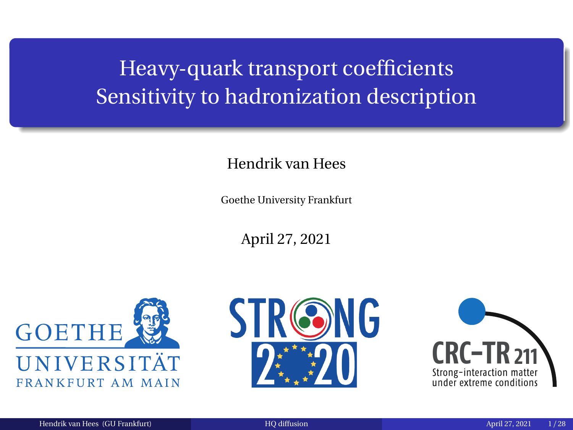# <span id="page-0-0"></span>Heavy-quark transport coefficients Sensitivity to hadronization description

### Hendrik van Hees

Goethe University Frankfurt

April 27, 2021





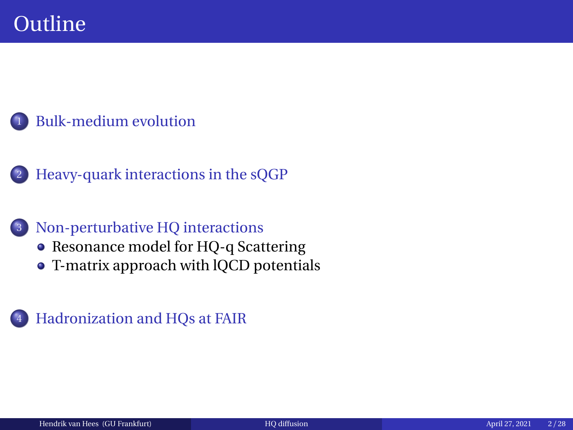<sup>2</sup> [Heavy-quark interactions in the sQGP](#page-7-0)

### <sup>3</sup> [Non-perturbative HQ interactions](#page-8-0)

- [Resonance model for HQ-q Scattering](#page-8-0)
- [T-matrix approach with lQCD potentials](#page-14-0)

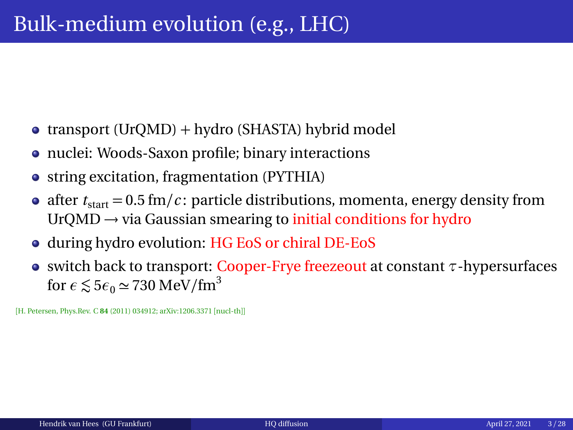- <span id="page-2-0"></span>• transport (UrQMD) + hydro (SHASTA) hybrid model
- nuclei: Woods-Saxon profile; binary interactions
- string excitation, fragmentation (PYTHIA)
- after  $t_{\text{start}} = 0.5 \text{ fm}/c$ : particle distributions, momenta, energy density from  $UrQMD \rightarrow via Gaussian smearing to initial conditions for hydro$
- during hydro evolution: HG EoS or chiral DE-EoS
- switch back to transport: Cooper-Frye freezeout at constant *τ*-hypersurfaces for  $\epsilon \le 5\epsilon_0 \simeq 730 \text{ MeV/fm}^3$

[H. Petersen, Phys.Rev. C **84** (2011) 034912; arXiv:1206.3371 [nucl-th]]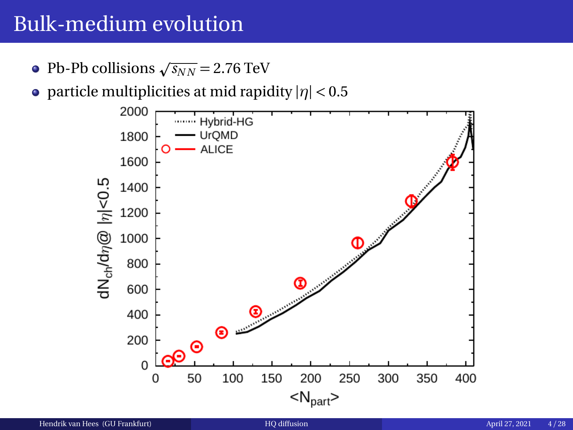- Pb-Pb collisions  $\sqrt{s_{NN}}$  = 2.76 TeV
- particle multiplicities at mid rapidity |*η*| *<* 0.5

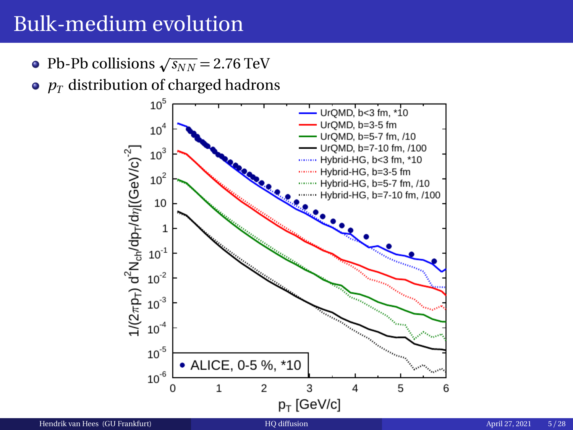- Pb-Pb collisions  $\sqrt{s_{NN}}$  = 2.76 TeV
- $\bullet$   $p_T$  distribution of charged hadrons

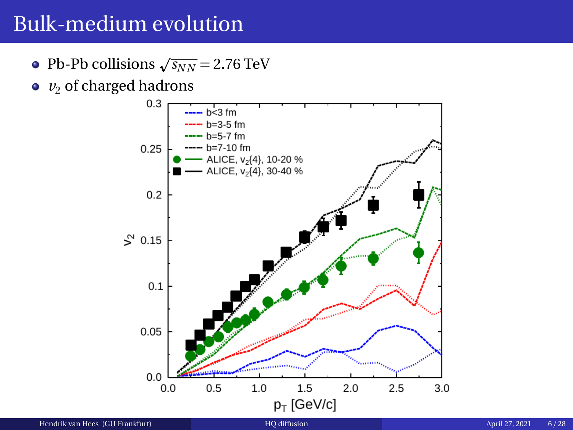- Pb-Pb collisions  $\sqrt{s_{NN}}$  = 2.76 TeV
- $v_2$  of charged hadrons

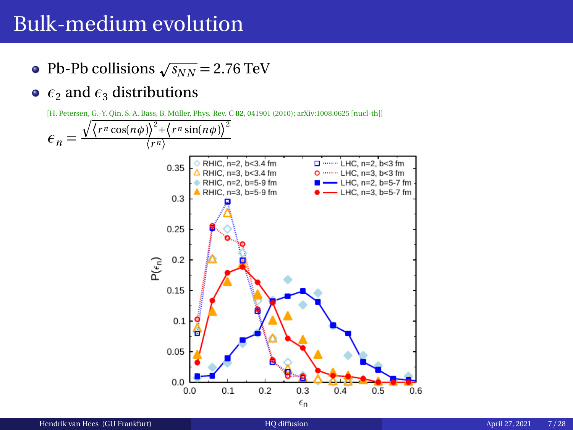- Pb-Pb collisions  $\sqrt{s_{NN}}$  = 2.76 TeV
- $\epsilon_2$  and  $\epsilon_3$  distributions



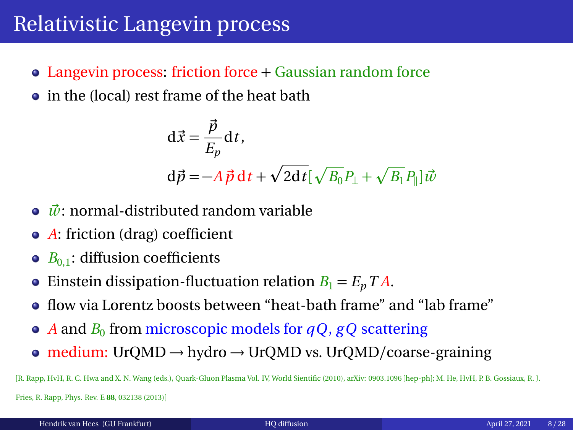# <span id="page-7-0"></span>Relativistic Langevin process

- Langevin process: friction force + Gaussian random force
- in the (local) rest frame of the heat bath

$$
\begin{aligned} \mathbf{d}\vec{x} &= \frac{\vec{p}}{E_p} \mathbf{d}t, \\ \mathbf{d}\vec{p} &= -A\,\vec{p}\,\mathbf{d}t + \sqrt{2\mathbf{d}t} [\sqrt{B_0}P_\perp + \sqrt{B_1}P_\parallel] \vec{w} \end{aligned}
$$

- ◆  $\vec{w}$ : normal-distributed random variable
- *A*: friction (drag) coefficient
- $B_{0,1}$ : diffusion coefficients  $\bullet$
- Einstein dissipation-fluctuation relation  $B_1 = E_p T A$ .  $\bullet$
- flow via Lorentz boosts between "heat-bath frame" and "lab frame"
- $A$  and  $B_0$  from microscopic models for  $qQ, gQ$  scattering
- medium: UrQMD  $\rightarrow$  hydro  $\rightarrow$  UrQMD vs. UrQMD/coarse-graining

[R. Rapp, HvH, R. C. Hwa and X. N. Wang (eds.), Quark-Gluon Plasma Vol. IV, World Sientific (2010), arXiv: 0903.1096 [hep-ph]; M. He, HvH, P. B. Gossiaux, R. J. Fries, R. Rapp, Phys. Rev. E **88**, 032138 (2013)]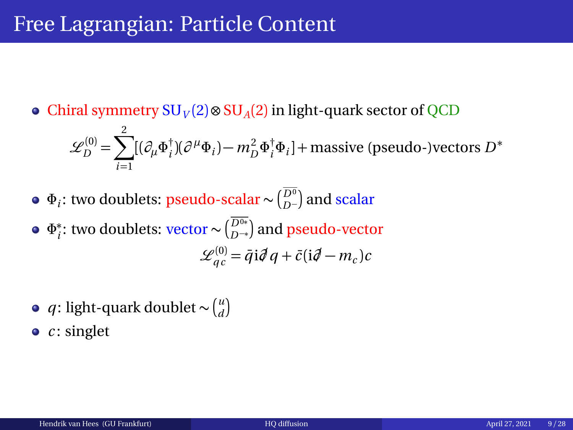## <span id="page-8-0"></span>Free Lagrangian: Particle Content

Chiral symmetry SU*<sup>V</sup>* (2) ⊗ SU*A*(2) in light-quark sector of QCD

$$
\mathcal{L}_{D}^{(0)} = \sum_{i=1}^{2} [(\partial_{\mu} \Phi_{i}^{\dagger})(\partial^{\mu} \Phi_{i}) - m_{D}^{2} \Phi_{i}^{\dagger} \Phi_{i}] + \text{massive (pseudo-)vectors } D^{*}
$$

- *Φ*<sub>*i*</sub>: two doublets: pseudo-scalar ∼ ( $_{D^-}^{D^0}$ ) and scalar
- *Φ* ∗ *i*<sup>2</sup> two doublets: vector  $\sim$   $\binom{\overline{D}^{0*}}{D^{-*}}$  and pseudo-vector  $\mathscr{L}_{qc}^{(0)} = \bar{q} \, \mathrm{i} \partial \hspace{0.1cm} q + \bar{c} \, (\mathrm{i} \partial \hspace{0.1cm} - m_c) c$
- *q*: light-quark doublet ~  $\binom{u}{d}$
- *c*: singlet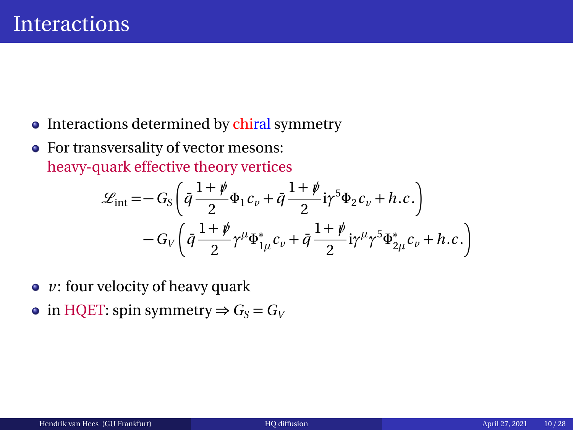- Interactions determined by chiral symmetry
- For transversality of vector mesons: heavy-quark effective theory vertices

$$
\mathcal{L}_{int} = -G_S \left( \bar{q} \frac{1+\rlap/v}{2} \Phi_1 c_v + \bar{q} \frac{1+\rlap/v}{2} i \gamma^5 \Phi_2 c_v + h.c. \right) \n- G_V \left( \bar{q} \frac{1+\rlap/v}{2} \gamma^\mu \Phi_{1\mu}^* c_v + \bar{q} \frac{1+\rlap/v}{2} i \gamma^\mu \gamma^5 \Phi_{2\mu}^* c_v + h.c. \right)
$$

- $\bullet$  *v*: four velocity of heavy quark
- in HQET: spin symmetry  $\Rightarrow$   $G_S = G_V$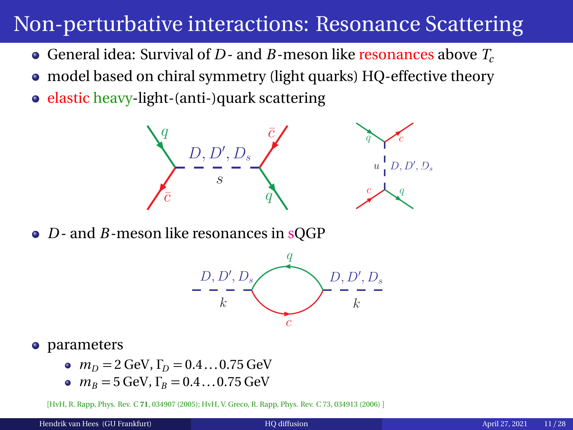# Non-perturbative interactions: Resonance Scattering

- General idea: Survival of *D* and *B*-meson like resonances above *T<sup>c</sup>*
- model based on chiral symmetry (light quarks) HQ-effective theory
- elastic heavy-light-(anti-)quark scattering



• *D* - and *B* - meson like resonances in sOGP



- parameters
	- $m_D = 2$  GeV,  $\Gamma_D = 0.4...0.75$  GeV
	- $m_B = 5$  GeV,  $\Gamma_B = 0.4...0.75$  GeV

[HvH, R. Rapp, Phys. Rev. C **71**, 034907 (2005); HvH, V. Greco, R. Rapp, Phys. Rev. C 73, 034913 (2006) ]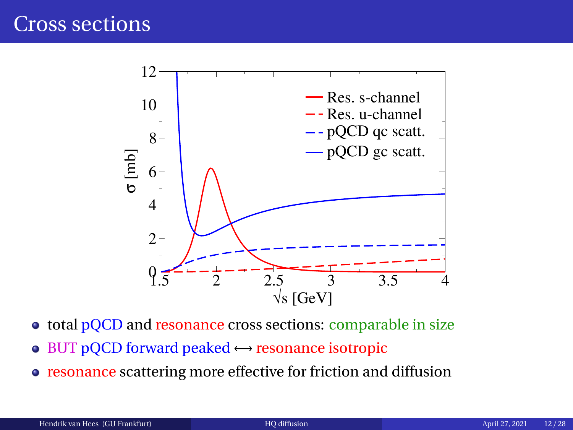

- total pQCD and resonance cross sections: comparable in size
- $\bullet$  BUT pQCD forward peaked  $\leftrightarrow$  resonance isotropic
- resonance scattering more effective for friction and diffusion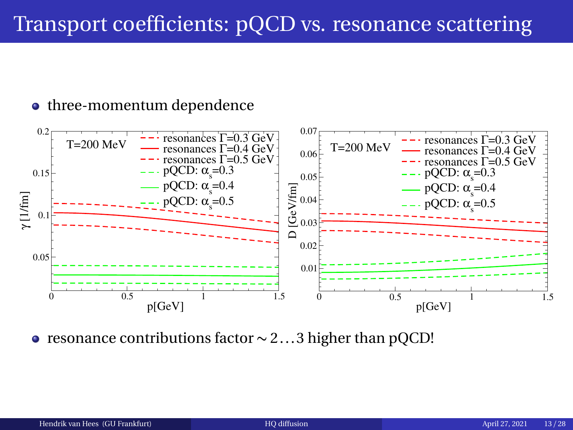# Transport coefficients: pQCD vs. resonance scattering

#### • three-momentum dependence



• resonance contributions factor ∼ 2...3 higher than pQCD!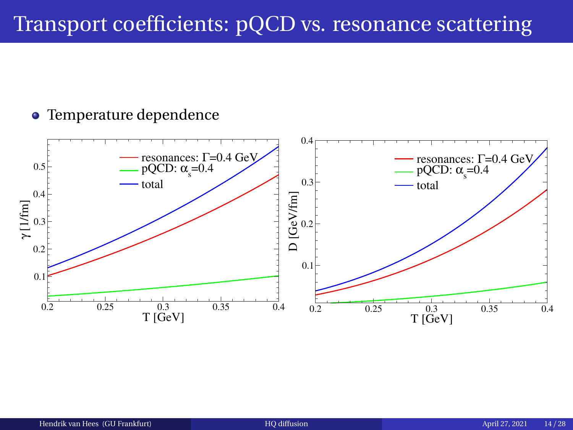# Transport coefficients: pQCD vs. resonance scattering

### • Temperature dependence

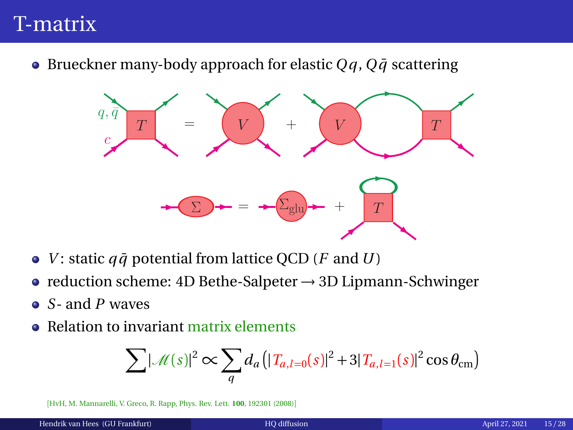# <span id="page-14-0"></span>T-matrix

 $\bullet$  Brueckner many-body approach for elastic  $Qq$ ,  $Q\bar{q}$  scattering



- *V*: static  $q\bar{q}$  potential from lattice QCD (*F* and *U*)
- reduction scheme: 4D Bethe-Salpeter  $\rightarrow$  3D Lipmann-Schwinger
- *S* and *P* waves
- Relation to invariant matrix elements

$$
\sum |\mathcal{M}(s)|^2 \propto \sum_{q} d_a \left( |T_{a,l=0}(s)|^2 + 3|T_{a,l=1}(s)|^2 \cos \theta_{\rm cm} \right)
$$

[HvH, M. Mannarelli, V. Greco, R. Rapp, Phys. Rev. Lett. **100**, 192301 (2008)]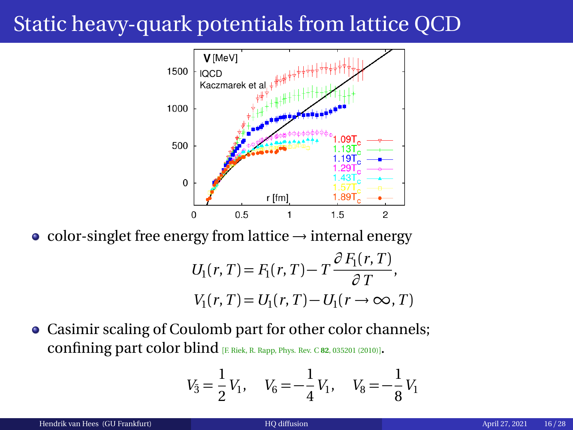# Static heavy-quark potentials from lattice QCD



color-singlet free energy from lattice → internal energy

$$
U_1(r, T) = F_1(r, T) - T \frac{\partial F_1(r, T)}{\partial T},
$$
  

$$
V_1(r, T) = U_1(r, T) - U_1(r \rightarrow \infty, T)
$$

Casimir scaling of Coulomb part for other color channels; confining part color blind [F. Riek, R. Rapp, Phys. Rev. C **<sup>82</sup>**, 035201 (2010)].

$$
V_3 = \frac{1}{2} V_1, \quad V_6 = -\frac{1}{4} V_1, \quad V_8 = -\frac{1}{8} V_1
$$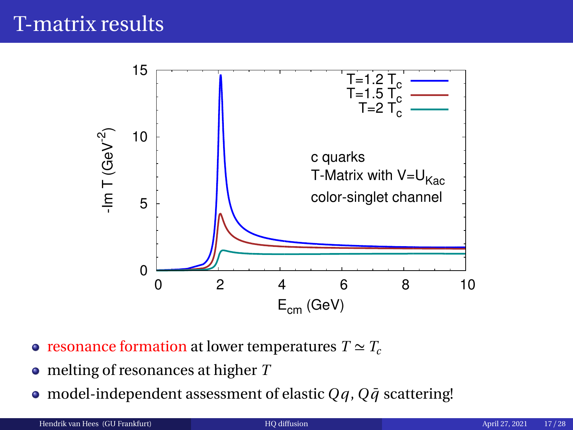# T-matrix results



- resonance formation at lower temperatures  $T \simeq T_c$
- melting of resonances at higher *T*
- model-independent assessment of elastic  $Qq$ ,  $Q\bar{q}$  scattering!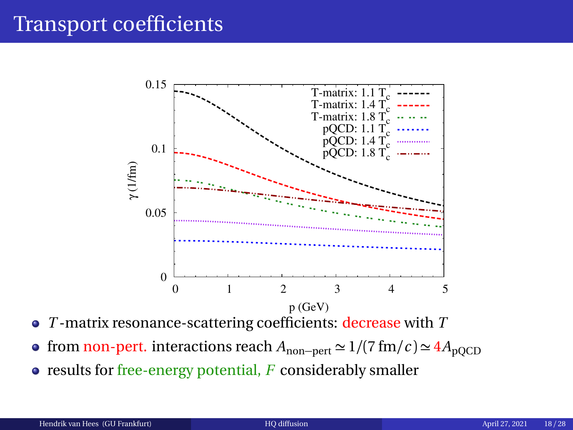## Transport coefficients



- *T* -matrix resonance-scattering coefficients: decrease with *T*
- **•** from non-pert. interactions reach  $A_{\text{non–pert}} \simeq 1/(7 \text{ fm}/c) \simeq 4A_{\text{noCD}}$
- results for free-energy potential, *F* considerably smaller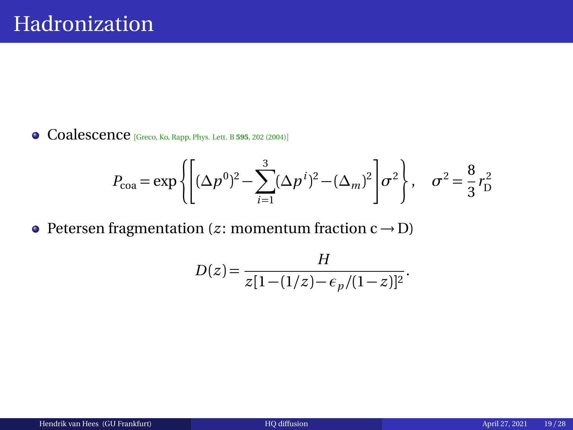<span id="page-18-0"></span>Coalescence [Greco, Ko, Rapp, Phys. Lett. B **<sup>595</sup>**, 202 (2004)]

$$
P_{\text{coa}} = \exp\left\{ \left[ (\Delta p^0)^2 - \sum_{i=1}^3 (\Delta p^i)^2 - (\Delta_m)^2 \right] \sigma^2 \right\}, \quad \sigma^2 = \frac{8}{3} r_{\text{D}}^2
$$

• Petersen fragmentation  $(z:$  momentum fraction  $c \rightarrow D$ )

$$
D(z) = \frac{H}{z[1 - (1/z) - \epsilon_p/(1-z)]^2}.
$$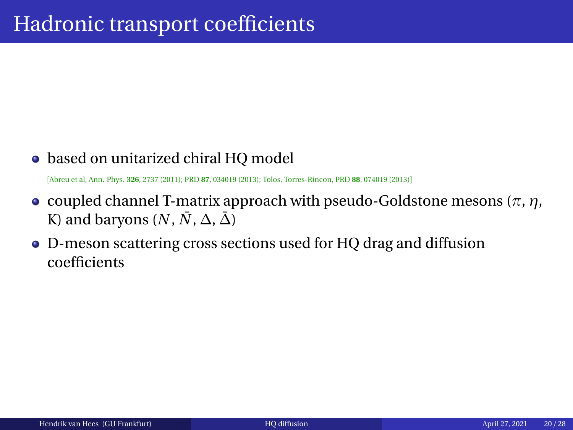### • based on unitarized chiral HQ model

[Abreu et al, Ann. Phys. **326**, 2737 (2011); PRD **87**, 034019 (2013); Tolos, Torres-Rincon, PRD **88**, 074019 (2013)]

- **c** coupled channel T-matrix approach with pseudo-Goldstone mesons ( $π$ ,  $η$ , K) and baryons  $(N, \overline{N}, \Delta, \overline{\Delta})$
- D-meson scattering cross sections used for HQ drag and diffusion  $\bullet$ coefficients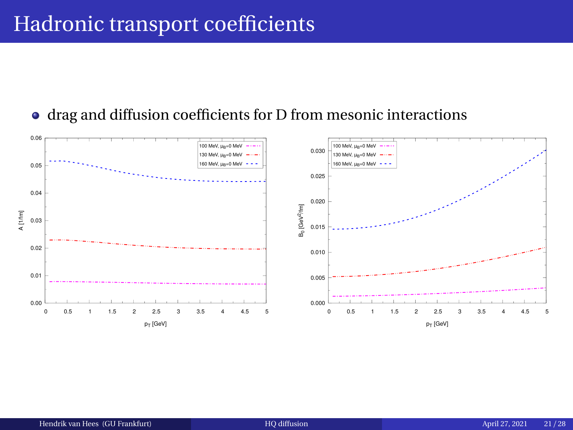# Hadronic transport coefficients

#### drag and diffusion coefficients for D from mesonic interactions

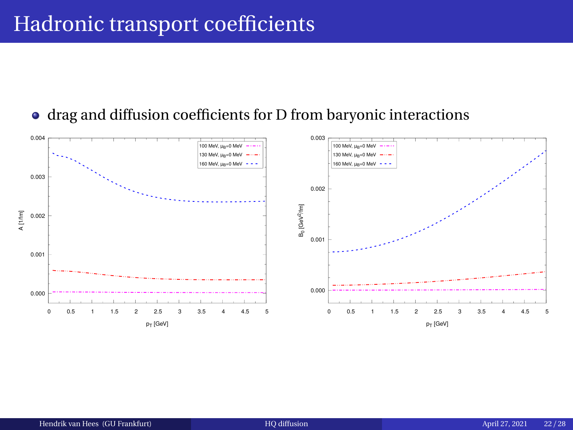# Hadronic transport coefficients

### drag and diffusion coefficients for D from baryonic interactions

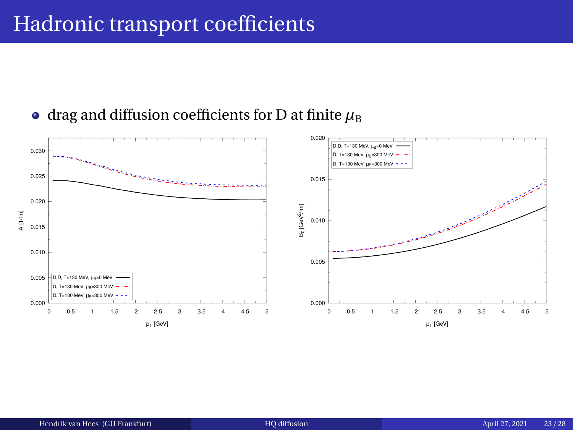## Hadronic transport coefficients

### $\bullet$  drag and diffusion coefficients for D at finite  $\mu_B$

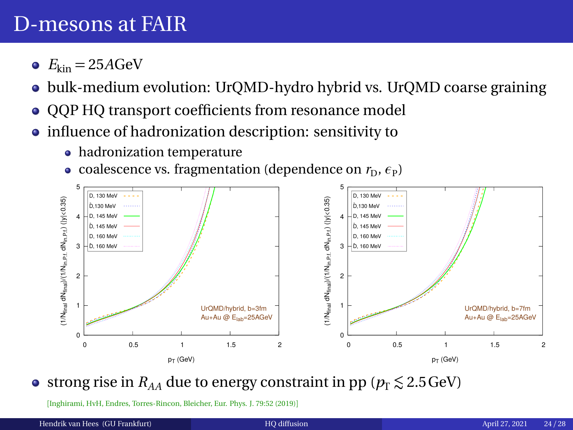- $E_{kin} = 25A$ GeV
- bulk-medium evolution: UrQMD-hydro hybrid vs. UrQMD coarse graining
- OOP HO transport coefficients from resonance model
- influence of hadronization description: sensitivity to
	- hadronization temperature
	- $\alpha$  coalescence vs. fragmentation (dependence on  $r_{\rm D}, \epsilon_{\rm P}$ )



• strong rise in  $R_{AA}$  due to energy constraint in pp ( $p_T \le 2.5$  GeV)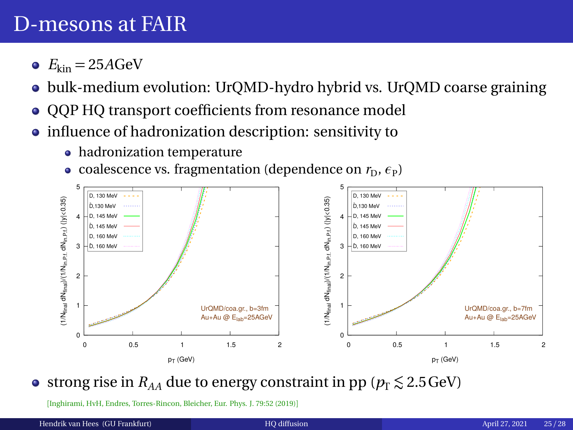- $E_{kin} = 25A$ GeV
- bulk-medium evolution: UrQMD-hydro hybrid vs. UrQMD coarse graining
- OOP HO transport coefficients from resonance model
- influence of hadronization description: sensitivity to
	- hadronization temperature
	- $\alpha$  coalescence vs. fragmentation (dependence on  $r_{\rm D}, \epsilon_{\rm P}$ )



• strong rise in  $R_{AA}$  due to energy constraint in pp ( $p_T \le 2.5$  GeV)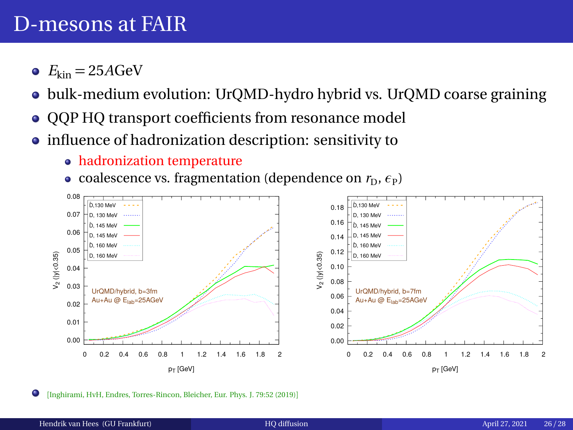- $E_{kin} = 25A$ GeV
- bulk-medium evolution: UrQMD-hydro hybrid vs. UrQMD coarse graining
- QQP HQ transport coefficients from resonance model
- influence of hadronization description: sensitivity to
	- hadronization temperature
	- $\alpha$  coalescence vs. fragmentation (dependence on  $r_{\rm D}, \epsilon_{\rm P}$ )

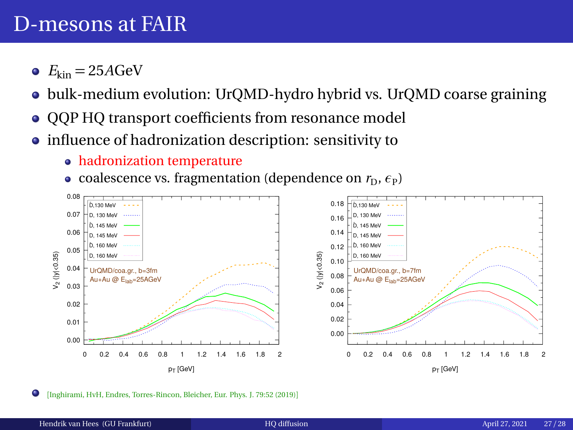- $E_{kin} = 25A$ GeV
- bulk-medium evolution: UrQMD-hydro hybrid vs. UrQMD coarse graining
- QQP HQ transport coefficients from resonance model
- influence of hadronization description: sensitivity to
	- hadronization temperature
	- $\alpha$  coalescence vs. fragmentation (dependence on  $r_{\rm D}, \epsilon_{\rm P}$ )

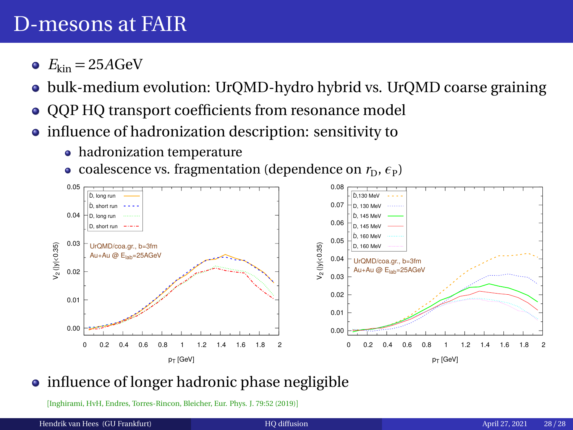- <span id="page-27-0"></span> $E_{kin} = 25A$ GeV
- bulk-medium evolution: UrQMD-hydro hybrid vs. UrQMD coarse graining
- OOP HO transport coefficients from resonance model
- influence of hadronization description: sensitivity to
	- hadronization temperature
	- $\alpha$  coalescence vs. fragmentation (dependence on  $r_{\rm D}, \epsilon_{\rm P}$ )



### • influence of longer hadronic phase negligible